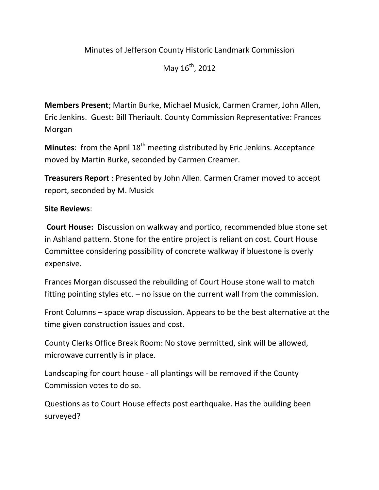## Minutes of Jefferson County Historic Landmark Commission

May  $16^{th}$ , 2012

**Members Present**; Martin Burke, Michael Musick, Carmen Cramer, John Allen, Eric Jenkins. Guest: Bill Theriault. County Commission Representative: Frances Morgan

**Minutes:** from the April 18<sup>th</sup> meeting distributed by Eric Jenkins. Acceptance moved by Martin Burke, seconded by Carmen Creamer.

**Treasurers Report** : Presented by John Allen. Carmen Cramer moved to accept report, seconded by M. Musick

## **Site Reviews**:

**Court House:** Discussion on walkway and portico, recommended blue stone set in Ashland pattern. Stone for the entire project is reliant on cost. Court House Committee considering possibility of concrete walkway if bluestone is overly expensive.

Frances Morgan discussed the rebuilding of Court House stone wall to match fitting pointing styles etc. – no issue on the current wall from the commission.

Front Columns – space wrap discussion. Appears to be the best alternative at the time given construction issues and cost.

County Clerks Office Break Room: No stove permitted, sink will be allowed, microwave currently is in place.

Landscaping for court house ‐ all plantings will be removed if the County Commission votes to do so.

Questions as to Court House effects post earthquake. Has the building been surveyed?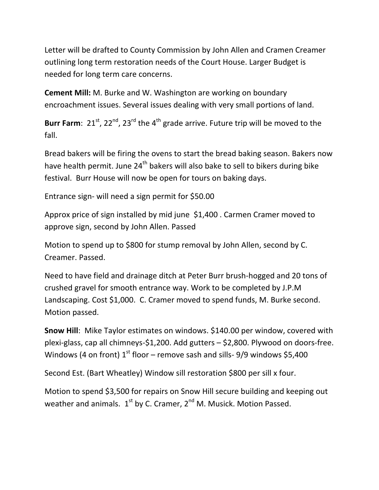Letter will be drafted to County Commission by John Allen and Cramen Creamer outlining long term restoration needs of the Court House. Larger Budget is needed for long term care concerns.

**Cement Mill:** M. Burke and W. Washington are working on boundary encroachment issues. Several issues dealing with very small portions of land.

**Burr Farm**:  $21^{st}$ ,  $22^{nd}$ ,  $23^{rd}$  the  $4^{th}$  grade arrive. Future trip will be moved to the fall.

Bread bakers will be firing the ovens to start the bread baking season. Bakers now have health permit. June 24<sup>th</sup> bakers will also bake to sell to bikers during bike festival. Burr House will now be open for tours on baking days.

Entrance sign‐ will need a sign permit for \$50.00

Approx price of sign installed by mid june \$1,400 . Carmen Cramer moved to approve sign, second by John Allen. Passed

Motion to spend up to \$800 for stump removal by John Allen, second by C. Creamer. Passed.

Need to have field and drainage ditch at Peter Burr brush‐hogged and 20 tons of crushed gravel for smooth entrance way. Work to be completed by J.P.M Landscaping. Cost \$1,000. C. Cramer moved to spend funds, M. Burke second. Motion passed.

**Snow Hill**: Mike Taylor estimates on windows. \$140.00 per window, covered with plexi-glass, cap all chimneys-\$1,200. Add gutters – \$2,800. Plywood on doors-free. Windows (4 on front)  $1^{st}$  floor – remove sash and sills- 9/9 windows \$5,400

Second Est. (Bart Wheatley) Window sill restoration \$800 per sill x four.

Motion to spend \$3,500 for repairs on Snow Hill secure building and keeping out weather and animals.  $1^{st}$  by C. Cramer,  $2^{nd}$  M. Musick. Motion Passed.